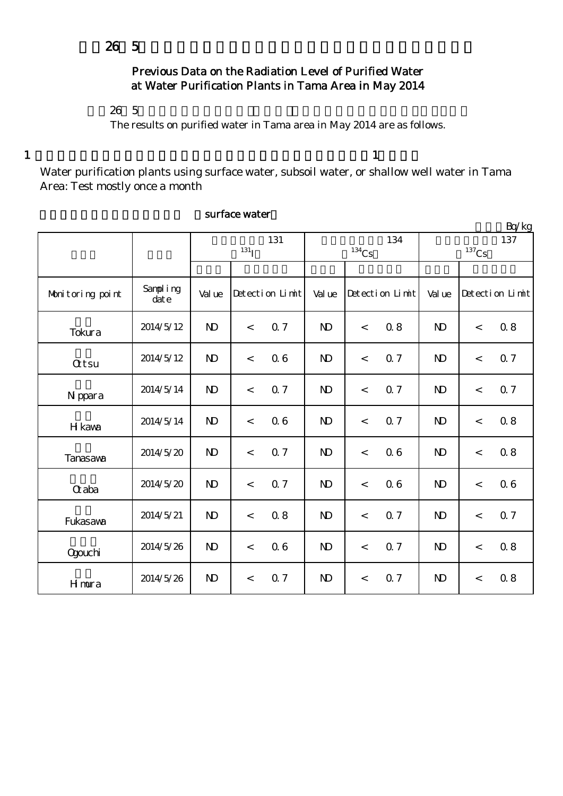# Previous Data on the Radiation Level of Purified Water at Water Purification Plants in Tama Area in May 2014

 $26\;\; 5$ 

The results on purified water in Tama area in May 2014 are as follows.

1  $1$ 

Water purification plants using surface water, subsoil water, or shallow well water in Tama Area: Test mostly once a month

|                  |                                    |                    |         |                 |              |                     |                 |                     |         | Bq/kg           |
|------------------|------------------------------------|--------------------|---------|-----------------|--------------|---------------------|-----------------|---------------------|---------|-----------------|
|                  |                                    | 131                |         |                 |              |                     | 134             |                     | 137     |                 |
|                  |                                    | $131$ <sub>I</sub> |         |                 |              | $^{134}\mathrm{Cs}$ |                 | $^{137}\mathrm{Cs}$ |         |                 |
|                  |                                    |                    |         |                 |              |                     |                 |                     |         |                 |
| Monitoring point | Sampling<br>$\bar{\mathrm{dat}}$ e | Val ue             |         | Detection Limit | Val ue       |                     | Detection Limit | Val ue              |         | Detection Limit |
| Tokura           | 2014/5/12                          | $\mathbf{D}$       | $\lt$   | 0.7             | $\mathbf{D}$ | $\lt$               | 0.8             | $\mathbf{D}$        | $\lt$   | 0.8             |
| <b>Qtsu</b>      | 2014/5/12                          | $\mathbf{D}$       | $\,<$   | 06              | $\mathbf{D}$ | $\lt$               | 0.7             | $\mathbf{D}$        | $\,<$   | 0.7             |
| N ppara          | 2014/5/14                          | $\mathbf{D}$       | $\lt$   | 0.7             | $\mathbf{D}$ | $\lt$               | 0.7             | $\mathbf{D}$        | $\,<$   | 0.7             |
| H kawa           | 2014/5/14                          | $\mathbf{D}$       | $\,<$   | 06              | $\mathbf{D}$ | $\lt$               | 0.7             | $\mathbf{D}$        | $\,<$   | 0.8             |
| Tanasava         | 2014/5/20                          | $\mathbf{D}$       | $\,<$   | 0.7             | $\mathbf{D}$ | $\,<$               | 0.6             | $\mathbf{D}$        | $\,<$   | 0.8             |
| $\alpha$ aba     | 2014/5/20                          | $\mathbf{D}$       | $\,<\,$ | 0.7             | $\mathbf{N}$ | $\,<$               | 0.6             | $\mathbf{D}$        | $\,<$   | 06              |
| Fukasawa         | 2014/5/21                          | $\mathbf{D}$       | $\,<$   | 0.8             | $\mathbf{N}$ | $\lt$               | 0.7             | N <sub>D</sub>      | $\lt$   | 0.7             |
| <b>Ogouchi</b>   | 2014/5/26                          | $\mathbf{D}$       | $\lt$   | 06              | $\mathbf{D}$ | $\lt$               | 0.7             | $\mathbf{D}$        | $\,<\,$ | 0.8             |
| Hmura            | 2014/5/26                          | $\mathbf{D}$       | $\,<\,$ | 0.7             | $\mathbf{D}$ | $\,<$               | 0.7             | $\mathbf{D}$        | $\,<$   | 0.8             |

## surface water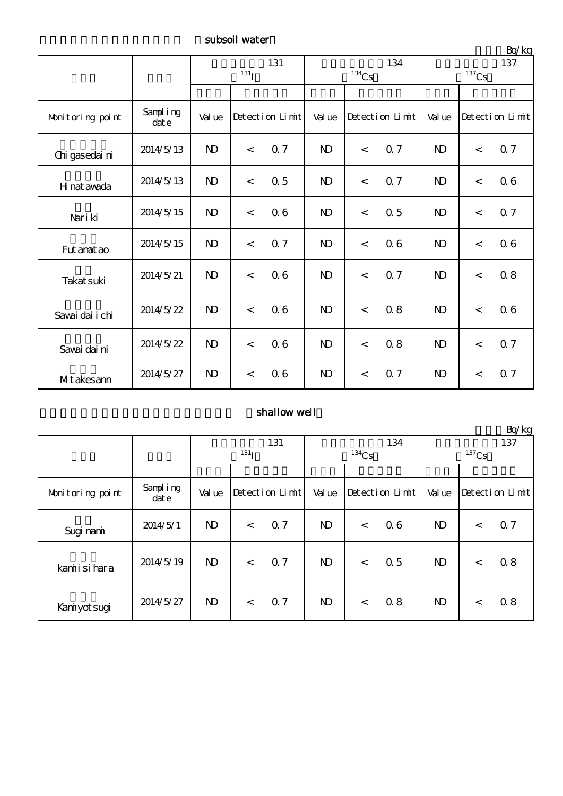subsoil water

|                  |                   | 131<br>131 <sub>I</sub> |         |                 |              | $^{134}\mathrm{Cs}$      | 134             | 137<br>$^{137}\mathrm{Cs}$ |         |                 |
|------------------|-------------------|-------------------------|---------|-----------------|--------------|--------------------------|-----------------|----------------------------|---------|-----------------|
|                  |                   |                         |         |                 |              |                          |                 |                            |         |                 |
| Monitoring point | Sampling<br>dot e | Val ue                  |         | Detection Limit | Val ue       |                          | Detection Limit | Val ue                     |         | Detection Limit |
| Chi gasedai ni   | 2014/5/13         | $\mathbf{D}$            | $\lt$   | 0.7             | $\mathbf{D}$ | $\lt$                    | 0.7             | $\mathbf{D}$               | $\lt$   | Q 7             |
| H nat awada      | 2014/5/13         | $\mathbf{D}$            | $\,<$   | 0.5             | $\mathbf{D}$ | $\lt$                    | 0.7             | N <sub>D</sub>             | $\lt$   | 06              |
| Nari ki          | 2014/5/15         | $\mathbf{N}$            | $\lt$   | 06              | $\mathbf{D}$ | $\overline{\phantom{a}}$ | 0.5             | $\mathbf{D}$               | $\,<\,$ | 0.7             |
| Fut anat ao      | 2014/5/15         | $\mathbf{D}$            | $\lt$   | 0.7             | $\mathbf{D}$ | $\lt$                    | 06              | $\mathbf{D}$               | $\lt$   | 06              |
| Takat suki       | 2014/5/21         | $\mathbf{D}$            | $\lt$   | 06              | $\mathbf{D}$ | $\lt$                    | 0.7             | N <sub>D</sub>             | $\,<\,$ | 0.8             |
| Savai dai i chi  | 2014/5/22         | $\mathbf{D}$            | $\lt$   | 06              | $\mathbf{D}$ | $\lt$                    | 0.8             | $\mathbf{D}$               | $\,<\,$ | 06              |
| Savai dai ni     | 2014/5/22         | $\mathbf{D}$            | $\lt$   | 06              | $\mathbf{D}$ | $\lt$                    | 0.8             | $\mathbf{D}$               | $\lt$   | 0.7             |
| MIt akesann      | 2014/5/27         | $\mathbf{D}$            | $\,<\,$ | 06              | $\mathbf{D}$ | $\lt$                    | 0.7             | $\mathbf{D}$               | $\,<\,$ | 0.7             |

# shallow well

|                  |                  |                         |         |                 |              |          |                 |                              |         | $\frac{L}{L}$   |
|------------------|------------------|-------------------------|---------|-----------------|--------------|----------|-----------------|------------------------------|---------|-----------------|
|                  |                  | 131<br>131 <sub>T</sub> |         |                 |              | $134$ Cs | 134             | 137<br>${}^{137}\mathrm{Cs}$ |         |                 |
|                  |                  |                         |         |                 |              |          |                 |                              |         |                 |
| Monitoring point | Sampling<br>date | Val ue                  |         | Detection Limit | Val ue       |          | Detection Limit | Val ue                       |         | Detection Limit |
| Sugi nami        | 2014/5/1         | $\mathbf{D}$            | $\lt$   | 0.7             | $\mathbf{D}$ | $\lt$    | 06              | $\mathbf{N}$                 | $\,<\,$ | 0.7             |
| kamiisi hara     | 2014/5/19        | $\mathbf{D}$            | $\lt$   | Q 7             | $\mathbf{D}$ | $\lt$    | 0.5             | $\mathbf{N}$                 | $\,<$   | 0.8             |
| Kaniyot sugi     | 2014/5/27        | $\mathbf{D}$            | $\,<\,$ | 0.7             | $\mathbf{D}$ | $\lt$    | 0.8             | $\mathbf{D}$                 | $\,<\,$ | 0.8             |

 $Rn/kg$ 

単位:Bq/kg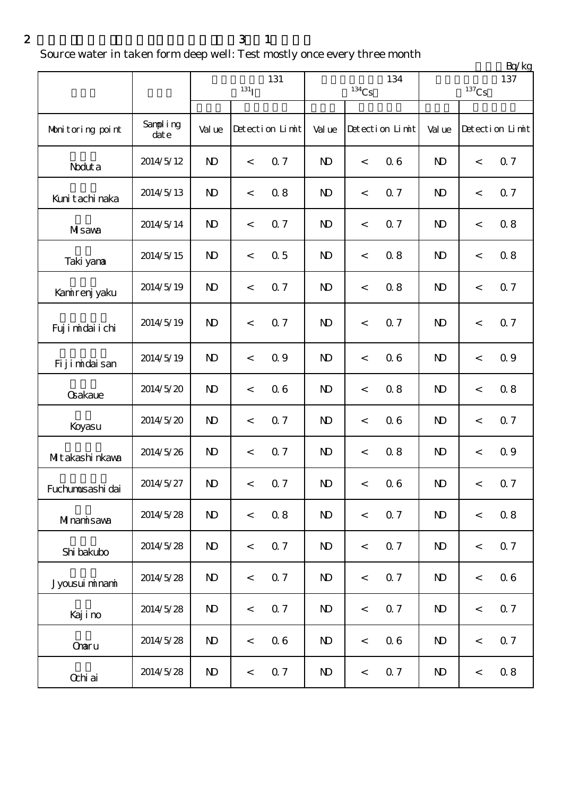### $2 \t 3 \t 1$

Source water in taken form deep well: Test mostly once every three month

|                   |                  |                         |                  |                 |              |                     |                 | Bq/kg          |                     |                 |  |  |
|-------------------|------------------|-------------------------|------------------|-----------------|--------------|---------------------|-----------------|----------------|---------------------|-----------------|--|--|
|                   |                  |                         | 131 <sub>I</sub> | 131             |              | $^{134}\mathrm{Cs}$ | 134             |                | $^{137}\mathrm{Cs}$ | 137             |  |  |
| Monitoring point  | Sampling<br>date | Val ue                  |                  | Detection Limit | Val ue       |                     | Detection Limit | Val ue         |                     | Detection Limit |  |  |
| Noduta            | 2014/5/12        | $\mathbf{D}$            | $\,<\,$          | 0.7             | $\mathbf{D}$ | $\,<$               | 0.6             | $\mathbf{D}$   | $\,<\,$             | 0.7             |  |  |
| Kunit achi naka   | 2014/5/13        | $\mathbf{D}$            | $\,<\,$          | 0.8             | $\mathbf{D}$ | $\,<$               | 0.7             | $\mathbf{D}$   | $\,<\,$             | 0.7             |  |  |
| MIsawa            | 2014/5/14        | $\mathbf{D}$            | $\,<$            | 0.7             | $\mathbf{D}$ | $\,<$               | 0.7             | $\mathbf{D}$   | $\,<\,$             | 0.8             |  |  |
| Taki yana         | 2014/5/15        | $\mathbf{D}$            | $\,<$            | 0.5             | $\mathbf{D}$ | $\,<$               | 0.8             | $\mathbf{D}$   | $\,<\,$             | 0.8             |  |  |
| Kanirenj yaku     | 2014/5/19        | $\mathbf{D}$            | $\,<$            | 0.7             | $\mathbf{D}$ | $\,<$               | 0.8             | N <sub>D</sub> | $\,<$               | 0.7             |  |  |
| Fuj i midai i chi | 2014/5/19        | $\mathbf{D}$            | $\,<\,$          | 0.7             | $\mathbf{D}$ | $\,<$               | 0.7             | $\mathbf{D}$   | $\,<$               | <b>Q</b> 7      |  |  |
| Fijimidaisan      | 2014/5/19        | $\mathbf{D}$            | $\,<$            | 0.9             | $\mathbf{D}$ | $\,<$               | 0.6             | $\mathbf{D}$   | $\,<\,$             | 0.9             |  |  |
| <b>Gakaue</b>     | 2014/5/20        | $\mathbf{D}$            | $\,<$            | 0.6             | $\mathbf{D}$ | $\,<$               | 0.8             | N <sub>D</sub> | $\,<$               | 0.8             |  |  |
| Koyasu            | 2014/5/20        | $\mathbf{D}$            | $\,<$            | 0.7             | $\mathbf{D}$ | $\,<$               | 0.6             | $\mathbf{D}$   | $\,<$               | 0.7             |  |  |
| MItakashi nkawa   | 2014/5/26        | $\mathbf{D}$            | $\,<$            | 0.7             | $\mathbf{D}$ | $\,<\,$             | 0.8             | $\mathbf{D}$   | $\,<\,$             | 0.9             |  |  |
| Fuchunusashi dai  | 2014/5/27        | $\mathbf{N} \mathbf{D}$ | $\,<\,$          | 0.7             | $\mathbf{N}$ | $\lt$               | 0.6             | $\mathbf{N}$   | $\lt$               | 0.7             |  |  |
| Minamisawa        | 2014/5/28        | $\mathbf{D}$            | $\,<$            | 0.8             | $\mathbf{D}$ | $\,<$               | 0.7             | $\mathbf{D}$   | $\,<$               | 0.8             |  |  |
| Shi bakubo        | 2014/5/28        | $\mathbf{D}$            | $\,<$            | 0.7             | $\mathbf{D}$ | $\,<$               | 0.7             | $\mathbf{D}$   | $\,<$               | 0.7             |  |  |
| Jyousui minami    | 2014/5/28        | $\mathbf{D}$            | $\,<$            | 0.7             | $\mathbf{D}$ | $\,<\,$             | 0.7             | $\mathbf{D}$   | $\,<$               | 0.6             |  |  |
| Kajino            | 2014/5/28        | $\mathbf{D}$            | $\,<$            | 0.7             | $\mathbf{D}$ | $\,<$               | 0.7             | $\mathbf{D}$   | $\,<$               | 0.7             |  |  |
| <b>Charu</b>      | 2014/5/28        | $\mathbf{D}$            | $\,<$            | 06              | $\mathbf{D}$ | $\,<$               | 06              | $\mathbf{D}$   | $\,<$               | 0.7             |  |  |
| Ochi ai           | 2014/5/28        | $\mathbf{D}$            | $\,<$            | 0.7             | $\mathbf{D}$ | $\,<$               | 0.7             | $\mathbf{D}$   | $\,<$               | 0.8             |  |  |